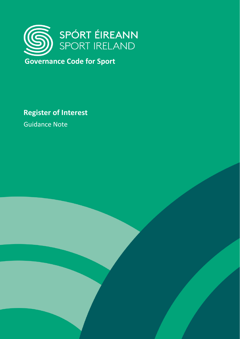

**Governance Code for Sport**

**Register of Interest**

Guidance Note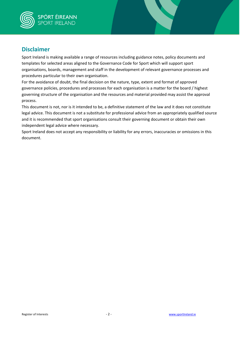

# **Disclaimer**

Sport Ireland is making available a range of resources including guidance notes, policy documents and templates for selected areas aligned to the Governance Code for Sport which will support sport organisations, boards, management and staff in the development of relevant governance processes and procedures particular to their own organisation.

For the avoidance of doubt, the final decision on the nature, type, extent and format of approved governance policies, procedures and processes for each organisation is a matter for the board / highest governing structure of the organisation and the resources and material provided may assist the approval process.

This document is not, nor is it intended to be, a definitive statement of the law and it does not constitute legal advice. This document is not a substitute for professional advice from an appropriately qualified source and it is recommended that sport organisations consult their governing document or obtain their own independent legal advice where necessary.

Sport Ireland does not accept any responsibility or liability for any errors, inaccuracies or omissions in this document.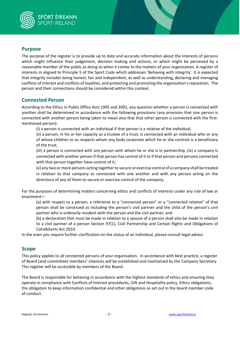

### **Purpose**

The purpose of the register is to provide up to date and accurate information about the interests of persons which might influence their judgement, decision making and actions, or which might be perceived by a reasonable member of the public as doing so when it comes to the matters of your organisation. A register of interests in aligned to Principle 5 of the Sport Code which addresses 'Behaving with integrity'. It is expected that integrity includes being honest, fair and independent, as well as understanding, declaring and managing conflicts of interest and conflicts of loyalties, and protecting and promoting the organisation's reputation. The person and their connections should be considered within this context.

### **Connected Person**

According to the Ethics in Public Office Acts 1995 and 2001, any question whether a person is connected with another shall be determined in accordance with the following provisions (any provision that one person is connected with another person being taken to mean also that that other person is connected with the firstmentioned person):

(i) a person is connected with an individual if that person is a relative of the individual,

(ii) a person, in his or her capacity as a trustee of a trust, is connected with an individual who or any of whose children or as respects whom any body corporate which he or she controls is a beneficiary of the trust,

(iii) a person is connected with any person with whom he or she is in partnership, (iv) a company is connected with another person if that person has control of it or if that person and persons connected with that person together have control of it,

(v) any two or more persons acting together to secure or exercise control of a company shall be treated in relation to that company as connected with one another and with any person acting on the directions of any of them to secure or exercise control of the company;

For the purposes of determining matters concerning ethics and conflicts of interests under any rule of law or enactment—

(a) with respect to a person, a reference to a "connected person" or a "connected relative" of that person shall be construed as including the person's civil partner and the child of the person's civil partner who is ordinarily resident with the person and the civil partner, and

(b) a declaration that must be made in relation to a spouse of a person shall also be made in relation to a civil partner of a person Section 97(1), Civil Partnership and Certain Rights and Obligations of Cohabitants Act 2010.

In the even you require further clarification on the status of an individual, please consult legal advice.

## **Scope**

This policy applies to all connected persons of your organisation. In accordance with best practice, a register of Board (and committee) members' interests will be established and maintained by the Company Secretary. This register will be accessible by members of the Board.

The Board is responsible for behaving in accordance with the highest standards of ethics and ensuring they operate in compliance with Conflicts of Interest procedures, Gift and Hospitality policy, Ethics obligations, the obligation to keep information confidential and other obligations as set out in the board member code of conduct.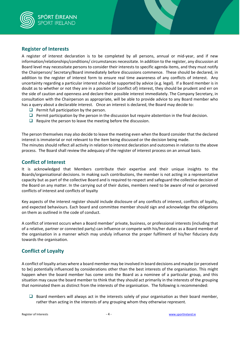

## **Register of Interests**

A register of interest declaration is to be completed by all persons, annual or mid-year, and if new information/relationships/conditions/ circumstances necessitate. In addition to the register, any discussion at Board level may necessitate persons to consider their interests to specific agenda items, and they must notify the Chairperson/ Secretary/Board immediately before discussions commence. These should be declared, in addition to the register of interest form to ensure real time awareness of any conflicts of interest. Any uncertainty regarding a particular interest should be supported by advice (e.g. legal). If a Board member is in doubt as to whether or not they are in a position of (conflict of) interest, they should be prudent and err on the side of caution and openness and declare their possible interest immediately. The Company Secretary, in consultation with the Chairperson as appropriate, will be able to provide advice to any Board member who has a query about a declarable interest. Once an interest is declared, the Board may decide to:

- $\Box$  Permit full participation by the person.
- $\Box$  Permit participation by the person in the discussion but require abstention in the final decision.
- $\Box$  Require the person to leave the meeting before the discussion.

The person themselves may also decide to leave the meeting even when the Board consider that the declared interest is immaterial or not relevant to the item being discussed or the decision being made. The minutes should reflect all activity in relation to interest declaration and outcomes in relation to the above process. The Board shall review the adequacy of the register of interest process on an annual basis.

## **Conflict of Interest**

It is acknowledged that Members contribute their expertise and their unique insights to the Boards/organisational decisions. In making such contributions, the member is not acting in a representative capacity but as part of the collective Board and is required to respect and safeguard the collective decision of the Board on any matter. In the carrying out of their duties, members need to be aware of real or perceived conflicts of interest and conflicts of loyalty

Key aspects of the interest register should include disclosure of any conflicts of interest, conflicts of loyalty, and expected behaviours. Each board and committee member should sign and acknowledge the obligations on them as outlined in the code of conduct.

A conflict of interest occurs when a Board member' private, business, or professional interests (including that of a relative, partner or connected party) can influence or compete with his/her duties as a Board member of the organisation in a manner which may unduly influence the proper fulfilment of his/her fiduciary duty towards the organisation.

## **Conflict of Loyalty**

A conflict of loyalty arises where a board member may be involved in board decisions and maybe (or perceived to be) potentially influenced by considerations other than the best interests of the organisation. This might happen when the board member has come onto the Board as a nominee of a particular group, and this situation may cause the board member to think that they should act primarily in the interests of the grouping that nominated them as distinct from the interests of the organisation. The following is recommended:

 $\Box$  Board members will always act in the interests solely of your organisation as their board member, rather than acting in the interests of any grouping whom they otherwise represent.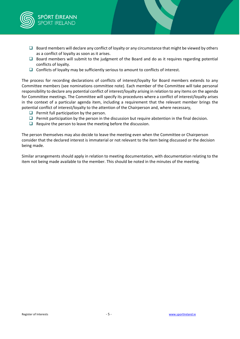

- $\Box$  Board members will declare any conflict of loyalty or any circumstance that might be viewed by others as a conflict of loyalty as soon as it arises.
- $\square$  Board members will submit to the judgment of the Board and do as it requires regarding potential conflicts of loyalty.
- $\Box$  Conflicts of loyalty may be sufficiently serious to amount to conflicts of interest.

The process for recording declarations of conflicts of interest/loyalty for Board members extends to any Committee members (see nominations committee note). Each member of the Committee will take personal responsibility to declare any potential conflict of interest/loyalty arising in relation to any items on the agenda for Committee meetings. The Committee will specify its procedures where a conflict of interest/loyalty arises in the context of a particular agenda item, including a requirement that the relevant member brings the potential conflict of interest/loyalty to the attention of the Chairperson and, where necessary,

- $\Box$  Permit full participation by the person.
- **Permit participation by the person in the discussion but require abstention in the final decision.**
- $\Box$  Require the person to leave the meeting before the discussion.

The person themselves may also decide to leave the meeting even when the Committee or Chairperson consider that the declared interest is immaterial or not relevant to the item being discussed or the decision being made.

Similar arrangements should apply in relation to meeting documentation, with documentation relating to the item not being made available to the member. This should be noted in the minutes of the meeting.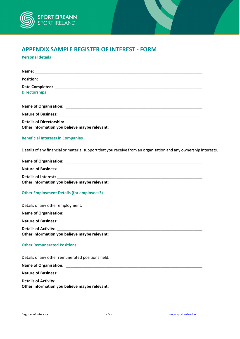

# **APPENDIX SAMPLE REGISTER OF INTEREST - FORM**

**Personal details** 

| <b>Directorships</b>                                                                                                                                                                                                                                                                                                         |
|------------------------------------------------------------------------------------------------------------------------------------------------------------------------------------------------------------------------------------------------------------------------------------------------------------------------------|
|                                                                                                                                                                                                                                                                                                                              |
|                                                                                                                                                                                                                                                                                                                              |
| Other information you believe maybe relevant:                                                                                                                                                                                                                                                                                |
| <b>Beneficial Interests in Companies</b>                                                                                                                                                                                                                                                                                     |
| Details of any financial or material support that you receive from an organisation and any ownership interests.                                                                                                                                                                                                              |
|                                                                                                                                                                                                                                                                                                                              |
|                                                                                                                                                                                                                                                                                                                              |
|                                                                                                                                                                                                                                                                                                                              |
| Other information you believe maybe relevant:                                                                                                                                                                                                                                                                                |
| <b>Other Employment Details (for employees?)</b>                                                                                                                                                                                                                                                                             |
| Details of any other employment.                                                                                                                                                                                                                                                                                             |
|                                                                                                                                                                                                                                                                                                                              |
|                                                                                                                                                                                                                                                                                                                              |
| Details of Activity: Details and Activity:<br>the control of the control of the control of the control of the control of the control of the control of the control of the control of the control of the control of the control of the control of the control of the control<br>Other information you believe maybe relevant: |
| <b>Other Remunerated Positions</b>                                                                                                                                                                                                                                                                                           |
| Details of any other remunerated positions held.                                                                                                                                                                                                                                                                             |
|                                                                                                                                                                                                                                                                                                                              |
|                                                                                                                                                                                                                                                                                                                              |
| <b>Details of Activity:</b><br>Other information you believe maybe relevant:                                                                                                                                                                                                                                                 |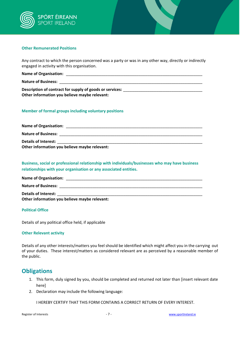

#### **Other Remunerated Positions**

Any contract to which the person concerned was a party or was in any other way, directly or indirectly engaged in activity with this organisation.

| <b>Name of Organisation:</b> |  |
|------------------------------|--|
| <b>Nature of Business:</b>   |  |

Description of contract for supply of goods or services: \_ **Other information you believe maybe relevant:**

### **Member of formal groups including voluntary positions**

| <b>Name of Organisation:</b>                  |  |
|-----------------------------------------------|--|
| <b>Nature of Business:</b>                    |  |
| <b>Details of Interest:</b>                   |  |
| Other information you believe maybe relevant: |  |

**Business, social or professional relationship with individuals/businesses who may have business relationships with your organisation or any associated entities.** 

| <b>Name of Organisation:</b>                  |  |
|-----------------------------------------------|--|
| <b>Nature of Business:</b>                    |  |
| <b>Details of Interest:</b>                   |  |
| Other information you believe maybe relevant: |  |

#### **Political Office**

Details of any political office held, if applicable

#### **Other Relevant activity**

Details of any other interests/matters you feel should be identified which might affect you in the carrying out of your duties. These interest/matters as considered relevant are as perceived by a reasonable member of the public.

## **Obligations**

- 1. This form, duly signed by you, should be completed and returned not later than [insert relevant date here]
- 2. Declaration may include the following language:

I HEREBY CERTIFY THAT THIS FORM CONTAINS A CORRECT RETURN OF EVERY INTEREST.